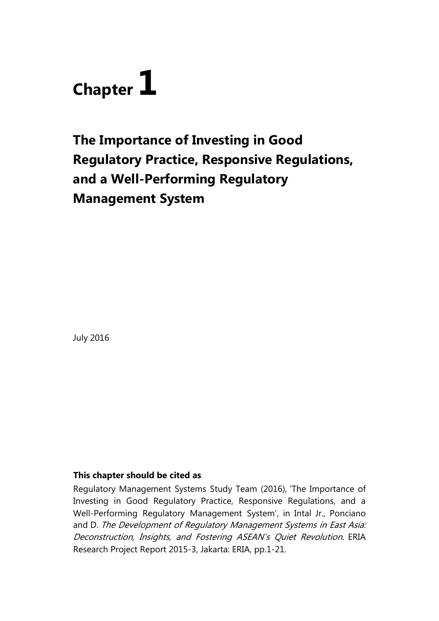

# **The Importance of Investing in Good Regulatory Practice, Responsive Regulations, and a Well-Performing Regulatory Management System**

July 2016

## **This chapter should be cited as**

Regulatory Management Systems Study Team (2016), 'The Importance of Investing in Good Regulatory Practice, Responsive Regulations, and a Well-Performing Regulatory Management System', in Intal Jr., Ponciano and D. The Development of Regulatory Management Systems in East Asia: Deconstruction, Insights, and Fostering ASEAN's Quiet Revolution. ERIA Research Project Report 2015-3, Jakarta: ERIA, pp.1-21.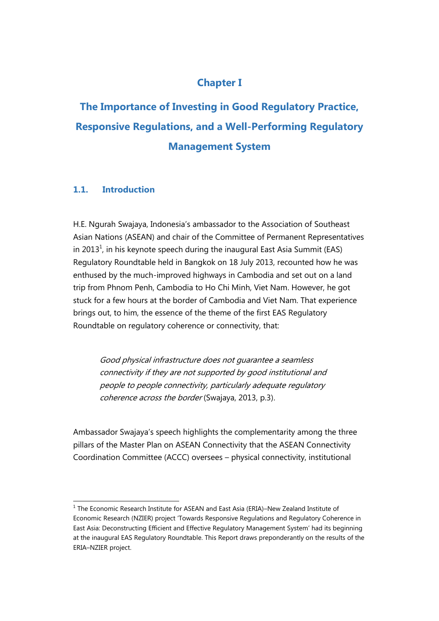# **Chapter I**

**The Importance of Investing in Good Regulatory Practice, Responsive Regulations, and a Well-Performing Regulatory Management System**

## **1.1. Introduction**

H.E. Ngurah Swajaya, Indonesia's ambassador to the Association of Southeast Asian Nations (ASEAN) and chair of the Committee of Permanent Representatives in 2013<sup>1</sup>, in his keynote speech during the inaugural East Asia Summit (EAS) Regulatory Roundtable held in Bangkok on 18 July 2013, recounted how he was enthused by the much-improved highways in Cambodia and set out on a land trip from Phnom Penh, Cambodia to Ho Chi Minh, Viet Nam. However, he got stuck for a few hours at the border of Cambodia and Viet Nam. That experience brings out, to him, the essence of the theme of the first EAS Regulatory Roundtable on regulatory coherence or connectivity, that:

Good physical infrastructure does not guarantee a seamless connectivity if they are not supported by good institutional and people to people connectivity, particularly adequate regulatory coherence across the border (Swajaya, 2013, p.3).

Ambassador Swajaya's speech highlights the complementarity among the three pillars of the Master Plan on ASEAN Connectivity that the ASEAN Connectivity Coordination Committee (ACCC) oversees – physical connectivity, institutional

 $\overline{a}$  $^1$  The Economic Research Institute for ASEAN and East Asia (ERIA)–New Zealand Institute of Economic Research (NZIER) project 'Towards Responsive Regulations and Regulatory Coherence in East Asia: Deconstructing Efficient and Effective Regulatory Management System' had its beginning at the inaugural EAS Regulatory Roundtable. This Report draws preponderantly on the results of the ERIA–NZIER project.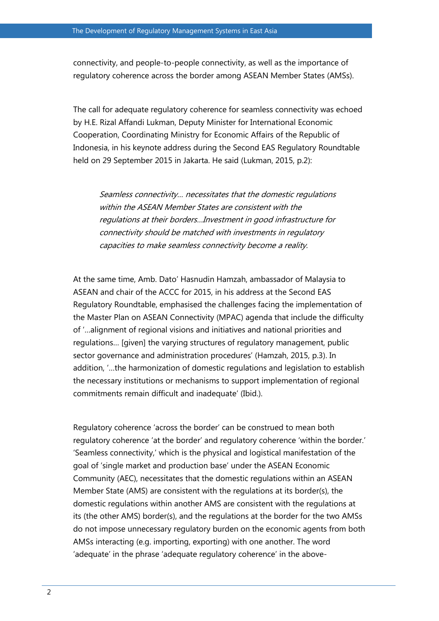connectivity, and people-to-people connectivity, as well as the importance of regulatory coherence across the border among ASEAN Member States (AMSs).

The call for adequate regulatory coherence for seamless connectivity was echoed by H.E. Rizal Affandi Lukman, Deputy Minister for International Economic Cooperation, Coordinating Ministry for Economic Affairs of the Republic of Indonesia, in his keynote address during the Second EAS Regulatory Roundtable held on 29 September 2015 in Jakarta. He said (Lukman, 2015, p.2):

Seamless connectivity… necessitates that the domestic regulations within the ASEAN Member States are consistent with the regulations at their borders…Investment in good infrastructure for connectivity should be matched with investments in regulatory capacities to make seamless connectivity become a reality.

At the same time, Amb. Dato' Hasnudin Hamzah, ambassador of Malaysia to ASEAN and chair of the ACCC for 2015, in his address at the Second EAS Regulatory Roundtable, emphasised the challenges facing the implementation of the Master Plan on ASEAN Connectivity (MPAC) agenda that include the difficulty of '…alignment of regional visions and initiatives and national priorities and regulations… [given] the varying structures of regulatory management, public sector governance and administration procedures' (Hamzah, 2015, p.3). In addition, '…the harmonization of domestic regulations and legislation to establish the necessary institutions or mechanisms to support implementation of regional commitments remain difficult and inadequate' (Ibid.).

Regulatory coherence 'across the border' can be construed to mean both regulatory coherence 'at the border' and regulatory coherence 'within the border.' 'Seamless connectivity,' which is the physical and logistical manifestation of the goal of 'single market and production base' under the ASEAN Economic Community (AEC), necessitates that the domestic regulations within an ASEAN Member State (AMS) are consistent with the regulations at its border(s), the domestic regulations within another AMS are consistent with the regulations at its (the other AMS) border(s), and the regulations at the border for the two AMSs do not impose unnecessary regulatory burden on the economic agents from both AMSs interacting (e.g. importing, exporting) with one another. The word 'adequate' in the phrase 'adequate regulatory coherence' in the above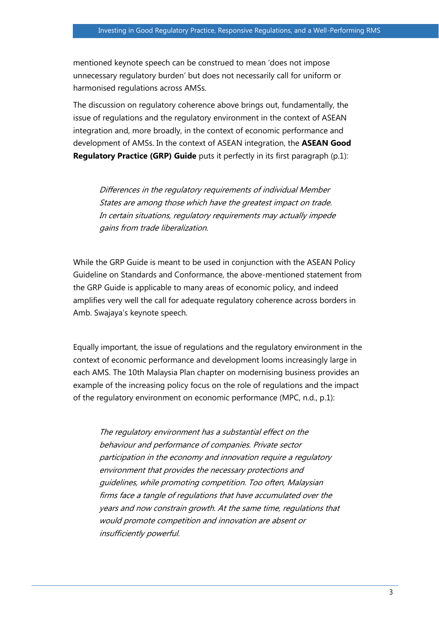mentioned keynote speech can be construed to mean 'does not impose unnecessary regulatory burden' but does not necessarily call for uniform or harmonised regulations across AMSs.

The discussion on regulatory coherence above brings out, fundamentally, the issue of regulations and the regulatory environment in the context of ASEAN integration and, more broadly, in the context of economic performance and development of AMSs. In the context of ASEAN integration, the **ASEAN Good Regulatory Practice (GRP) Guide** puts it perfectly in its first paragraph (p.1):

Differences in the regulatory requirements of individual Member States are among those which have the greatest impact on trade. In certain situations, regulatory requirements may actually impede gains from trade liberalization.

While the GRP Guide is meant to be used in conjunction with the ASEAN Policy Guideline on Standards and Conformance, the above-mentioned statement from the GRP Guide is applicable to many areas of economic policy, and indeed amplifies very well the call for adequate regulatory coherence across borders in Amb. Swajaya's keynote speech.

Equally important, the issue of regulations and the regulatory environment in the context of economic performance and development looms increasingly large in each AMS. The 10th Malaysia Plan chapter on modernising business provides an example of the increasing policy focus on the role of regulations and the impact of the regulatory environment on economic performance (MPC, n.d., p.1):

The regulatory environment has a substantial effect on the behaviour and performance of companies. Private sector participation in the economy and innovation require a regulatory environment that provides the necessary protections and guidelines, while promoting competition. Too often, Malaysian firms face a tangle of regulations that have accumulated over the years and now constrain growth. At the same time, regulations that would promote competition and innovation are absent or insufficiently powerful.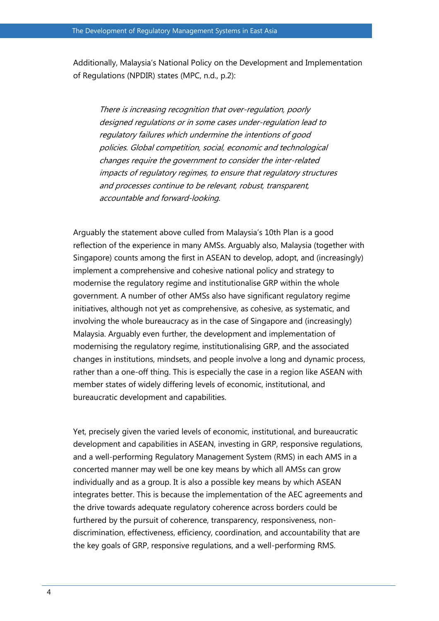Additionally, Malaysia's National Policy on the Development and Implementation of Regulations (NPDIR) states (MPC, n.d., p.2):

There is increasing recognition that over-regulation, poorly designed regulations or in some cases under-regulation lead to regulatory failures which undermine the intentions of good policies. Global competition, social, economic and technological changes require the government to consider the inter-related impacts of regulatory regimes, to ensure that regulatory structures and processes continue to be relevant, robust, transparent, accountable and forward-looking.

Arguably the statement above culled from Malaysia's 10th Plan is a good reflection of the experience in many AMSs. Arguably also, Malaysia (together with Singapore) counts among the first in ASEAN to develop, adopt, and (increasingly) implement a comprehensive and cohesive national policy and strategy to modernise the regulatory regime and institutionalise GRP within the whole government. A number of other AMSs also have significant regulatory regime initiatives, although not yet as comprehensive, as cohesive, as systematic, and involving the whole bureaucracy as in the case of Singapore and (increasingly) Malaysia. Arguably even further, the development and implementation of modernising the regulatory regime, institutionalising GRP, and the associated changes in institutions, mindsets, and people involve a long and dynamic process, rather than a one-off thing. This is especially the case in a region like ASEAN with member states of widely differing levels of economic, institutional, and bureaucratic development and capabilities.

Yet, precisely given the varied levels of economic, institutional, and bureaucratic development and capabilities in ASEAN, investing in GRP, responsive regulations, and a well-performing Regulatory Management System (RMS) in each AMS in a concerted manner may well be one key means by which all AMSs can grow individually and as a group. It is also a possible key means by which ASEAN integrates better. This is because the implementation of the AEC agreements and the drive towards adequate regulatory coherence across borders could be furthered by the pursuit of coherence, transparency, responsiveness, nondiscrimination, effectiveness, efficiency, coordination, and accountability that are the key goals of GRP, responsive regulations, and a well-performing RMS.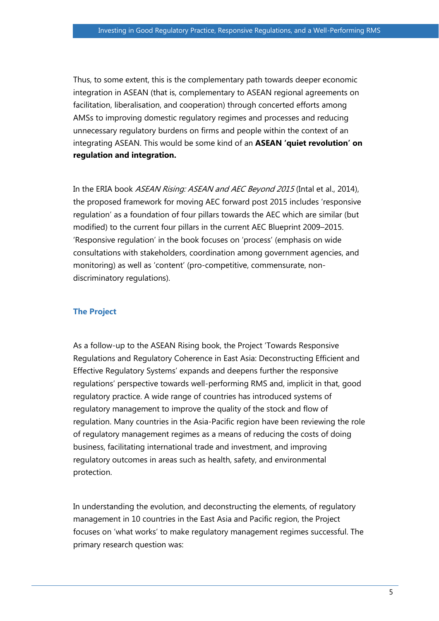Thus, to some extent, this is the complementary path towards deeper economic integration in ASEAN (that is, complementary to ASEAN regional agreements on facilitation, liberalisation, and cooperation) through concerted efforts among AMSs to improving domestic regulatory regimes and processes and reducing unnecessary regulatory burdens on firms and people within the context of an integrating ASEAN. This would be some kind of an **ASEAN 'quiet revolution' on regulation and integration.**

In the ERIA book ASEAN Rising: ASEAN and AEC Beyond 2015 (Intal et al., 2014), the proposed framework for moving AEC forward post 2015 includes 'responsive regulation' as a foundation of four pillars towards the AEC which are similar (but modified) to the current four pillars in the current AEC Blueprint 2009–2015. 'Responsive regulation' in the book focuses on 'process' (emphasis on wide consultations with stakeholders, coordination among government agencies, and monitoring) as well as 'content' (pro-competitive, commensurate, nondiscriminatory regulations).

# **The Project**

As a follow-up to the ASEAN Rising book, the Project 'Towards Responsive Regulations and Regulatory Coherence in East Asia: Deconstructing Efficient and Effective Regulatory Systems' expands and deepens further the responsive regulations' perspective towards well-performing RMS and, implicit in that, good regulatory practice. A wide range of countries has introduced systems of regulatory management to improve the quality of the stock and flow of regulation. Many countries in the Asia-Pacific region have been reviewing the role of regulatory management regimes as a means of reducing the costs of doing business, facilitating international trade and investment, and improving regulatory outcomes in areas such as health, safety, and environmental protection.

In understanding the evolution, and deconstructing the elements, of regulatory management in 10 countries in the East Asia and Pacific region, the Project focuses on 'what works' to make regulatory management regimes successful. The primary research question was: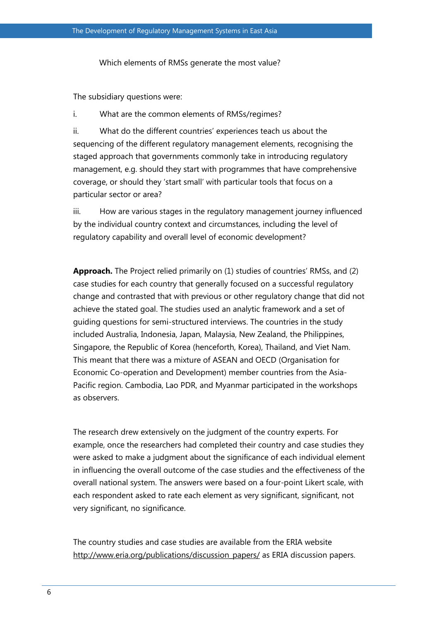Which elements of RMSs generate the most value?

The subsidiary questions were:

i. What are the common elements of RMSs/regimes?

ii. What do the different countries' experiences teach us about the sequencing of the different regulatory management elements, recognising the staged approach that governments commonly take in introducing regulatory management, e.g. should they start with programmes that have comprehensive coverage, or should they 'start small' with particular tools that focus on a particular sector or area?

iii. How are various stages in the regulatory management journey influenced by the individual country context and circumstances, including the level of regulatory capability and overall level of economic development?

**Approach.** The Project relied primarily on (1) studies of countries' RMSs, and (2) case studies for each country that generally focused on a successful regulatory change and contrasted that with previous or other regulatory change that did not achieve the stated goal. The studies used an analytic framework and a set of guiding questions for semi-structured interviews. The countries in the study included Australia, Indonesia, Japan, Malaysia, New Zealand, the Philippines, Singapore, the Republic of Korea (henceforth, Korea), Thailand, and Viet Nam. This meant that there was a mixture of ASEAN and OECD (Organisation for Economic Co-operation and Development) member countries from the Asia-Pacific region. Cambodia, Lao PDR, and Myanmar participated in the workshops as observers.

The research drew extensively on the judgment of the country experts. For example, once the researchers had completed their country and case studies they were asked to make a judgment about the significance of each individual element in influencing the overall outcome of the case studies and the effectiveness of the overall national system. The answers were based on a four-point Likert scale, with each respondent asked to rate each element as very significant, significant, not very significant, no significance.

The country studies and case studies are available from the ERIA website [http://www.eria.org/publications/discussion\\_papers/](http://www.eria.org/publications/discussion_papers/) as ERIA discussion papers.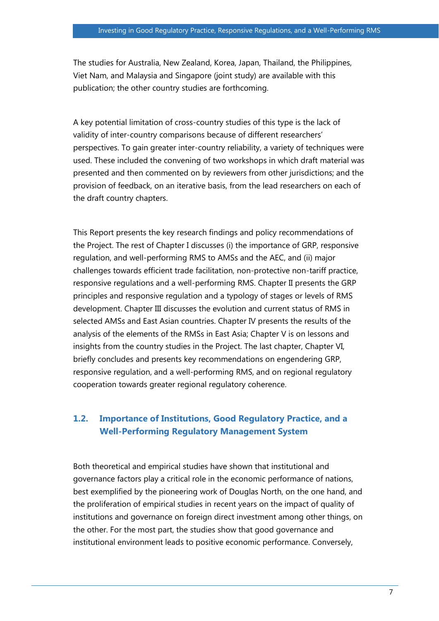The studies for Australia, New Zealand, Korea, Japan, Thailand, the Philippines, Viet Nam, and Malaysia and Singapore (joint study) are available with this publication; the other country studies are forthcoming.

A key potential limitation of cross-country studies of this type is the lack of validity of inter-country comparisons because of different researchers' perspectives. To gain greater inter-country reliability, a variety of techniques were used. These included the convening of two workshops in which draft material was presented and then commented on by reviewers from other jurisdictions; and the provision of feedback, on an iterative basis, from the lead researchers on each of the draft country chapters.

This Report presents the key research findings and policy recommendations of the Project. The rest of Chapter I discusses (i) the importance of GRP, responsive regulation, and well-performing RMS to AMSs and the AEC, and (ii) major challenges towards efficient trade facilitation, non-protective non-tariff practice, responsive regulations and a well-performing RMS. Chapter II presents the GRP principles and responsive regulation and a typology of stages or levels of RMS development. Chapter III discusses the evolution and current status of RMS in selected AMSs and East Asian countries. Chapter IV presents the results of the analysis of the elements of the RMSs in East Asia; Chapter V is on lessons and insights from the country studies in the Project. The last chapter, Chapter VI, briefly concludes and presents key recommendations on engendering GRP, responsive regulation, and a well-performing RMS, and on regional regulatory cooperation towards greater regional regulatory coherence.

# **1.2. Importance of Institutions, Good Regulatory Practice, and a Well-Performing Regulatory Management System**

Both theoretical and empirical studies have shown that institutional and governance factors play a critical role in the economic performance of nations, best exemplified by the pioneering work of Douglas North, on the one hand, and the proliferation of empirical studies in recent years on the impact of quality of institutions and governance on foreign direct investment among other things, on the other. For the most part, the studies show that good governance and institutional environment leads to positive economic performance. Conversely,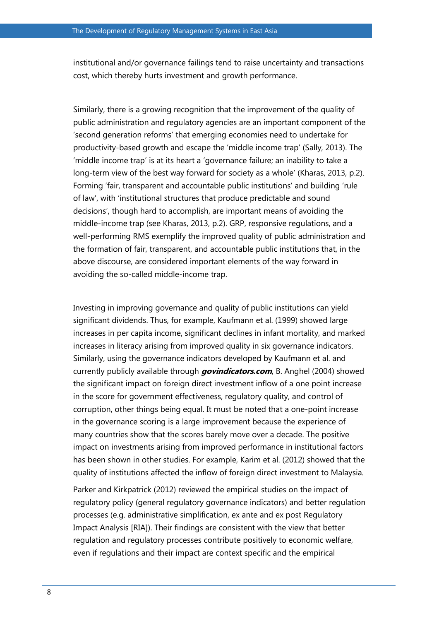institutional and/or governance failings tend to raise uncertainty and transactions cost, which thereby hurts investment and growth performance.

Similarly, there is a growing recognition that the improvement of the quality of public administration and regulatory agencies are an important component of the 'second generation reforms' that emerging economies need to undertake for productivity-based growth and escape the 'middle income trap' (Sally, 2013). The 'middle income trap' is at its heart a 'governance failure; an inability to take a long-term view of the best way forward for society as a whole' (Kharas, 2013, p.2). Forming 'fair, transparent and accountable public institutions' and building 'rule of law', with 'institutional structures that produce predictable and sound decisions', though hard to accomplish, are important means of avoiding the middle-income trap (see Kharas, 2013, p.2). GRP, responsive regulations, and a well-performing RMS exemplify the improved quality of public administration and the formation of fair, transparent, and accountable public institutions that, in the above discourse, are considered important elements of the way forward in avoiding the so-called middle-income trap.

Investing in improving governance and quality of public institutions can yield significant dividends. Thus, for example, Kaufmann et al. (1999) showed large increases in per capita income, significant declines in infant mortality, and marked increases in literacy arising from improved quality in six governance indicators. Similarly, using the governance indicators developed by Kaufmann et al. and currently publicly available through **govindicators.com**, B. Anghel (2004) showed the significant impact on foreign direct investment inflow of a one point increase in the score for government effectiveness, regulatory quality, and control of corruption, other things being equal. It must be noted that a one-point increase in the governance scoring is a large improvement because the experience of many countries show that the scores barely move over a decade. The positive impact on investments arising from improved performance in institutional factors has been shown in other studies. For example, Karim et al. (2012) showed that the quality of institutions affected the inflow of foreign direct investment to Malaysia.

Parker and Kirkpatrick (2012) reviewed the empirical studies on the impact of regulatory policy (general regulatory governance indicators) and better regulation processes (e.g. administrative simplification, ex ante and ex post Regulatory Impact Analysis [RIA]). Their findings are consistent with the view that better regulation and regulatory processes contribute positively to economic welfare, even if regulations and their impact are context specific and the empirical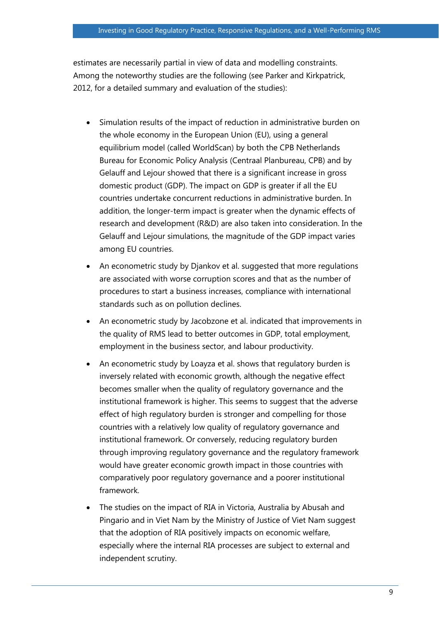estimates are necessarily partial in view of data and modelling constraints. Among the noteworthy studies are the following (see Parker and Kirkpatrick, 2012, for a detailed summary and evaluation of the studies):

- Simulation results of the impact of reduction in administrative burden on the whole economy in the European Union (EU), using a general equilibrium model (called WorldScan) by both the CPB Netherlands Bureau for Economic Policy Analysis (Centraal Planbureau, CPB) and by Gelauff and Lejour showed that there is a significant increase in gross domestic product (GDP). The impact on GDP is greater if all the EU countries undertake concurrent reductions in administrative burden. In addition, the longer-term impact is greater when the dynamic effects of research and development (R&D) are also taken into consideration. In the Gelauff and Lejour simulations, the magnitude of the GDP impact varies among EU countries.
- An econometric study by Djankov et al. suggested that more regulations are associated with worse corruption scores and that as the number of procedures to start a business increases, compliance with international standards such as on pollution declines.
- An econometric study by Jacobzone et al. indicated that improvements in the quality of RMS lead to better outcomes in GDP, total employment, employment in the business sector, and labour productivity.
- An econometric study by Loayza et al. shows that regulatory burden is inversely related with economic growth, although the negative effect becomes smaller when the quality of regulatory governance and the institutional framework is higher. This seems to suggest that the adverse effect of high regulatory burden is stronger and compelling for those countries with a relatively low quality of regulatory governance and institutional framework. Or conversely, reducing regulatory burden through improving regulatory governance and the regulatory framework would have greater economic growth impact in those countries with comparatively poor regulatory governance and a poorer institutional framework.
- The studies on the impact of RIA in Victoria, Australia by Abusah and Pingario and in Viet Nam by the Ministry of Justice of Viet Nam suggest that the adoption of RIA positively impacts on economic welfare, especially where the internal RIA processes are subject to external and independent scrutiny.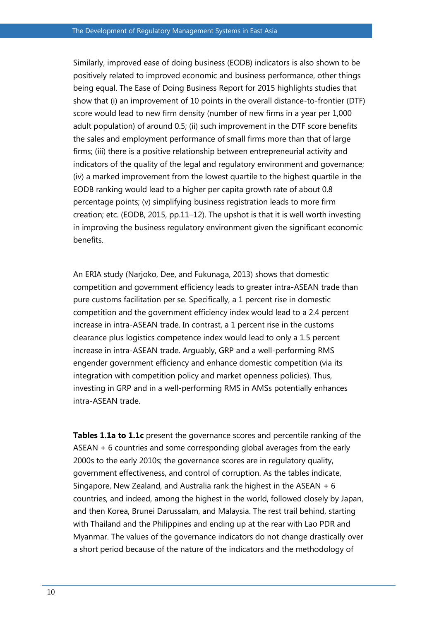Similarly, improved ease of doing business (EODB) indicators is also shown to be positively related to improved economic and business performance, other things being equal. The Ease of Doing Business Report for 2015 highlights studies that show that (i) an improvement of 10 points in the overall distance-to-frontier (DTF) score would lead to new firm density (number of new firms in a year per 1,000 adult population) of around 0.5; (ii) such improvement in the DTF score benefits the sales and employment performance of small firms more than that of large firms; (iii) there is a positive relationship between entrepreneurial activity and indicators of the quality of the legal and regulatory environment and governance; (iv) a marked improvement from the lowest quartile to the highest quartile in the EODB ranking would lead to a higher per capita growth rate of about 0.8 percentage points; (v) simplifying business registration leads to more firm creation; etc. (EODB, 2015, pp.11–12). The upshot is that it is well worth investing in improving the business regulatory environment given the significant economic benefits.

An ERIA study (Narjoko, Dee, and Fukunaga, 2013) shows that domestic competition and government efficiency leads to greater intra-ASEAN trade than pure customs facilitation per se. Specifically, a 1 percent rise in domestic competition and the government efficiency index would lead to a 2.4 percent increase in intra-ASEAN trade. In contrast, a 1 percent rise in the customs clearance plus logistics competence index would lead to only a 1.5 percent increase in intra-ASEAN trade. Arguably, GRP and a well-performing RMS engender government efficiency and enhance domestic competition (via its integration with competition policy and market openness policies). Thus, investing in GRP and in a well-performing RMS in AMSs potentially enhances intra-ASEAN trade.

**Tables 1.1a to 1.1c** present the governance scores and percentile ranking of the ASEAN + 6 countries and some corresponding global averages from the early 2000s to the early 2010s; the governance scores are in regulatory quality, government effectiveness, and control of corruption. As the tables indicate, Singapore, New Zealand, and Australia rank the highest in the ASEAN + 6 countries, and indeed, among the highest in the world, followed closely by Japan, and then Korea, Brunei Darussalam, and Malaysia. The rest trail behind, starting with Thailand and the Philippines and ending up at the rear with Lao PDR and Myanmar. The values of the governance indicators do not change drastically over a short period because of the nature of the indicators and the methodology of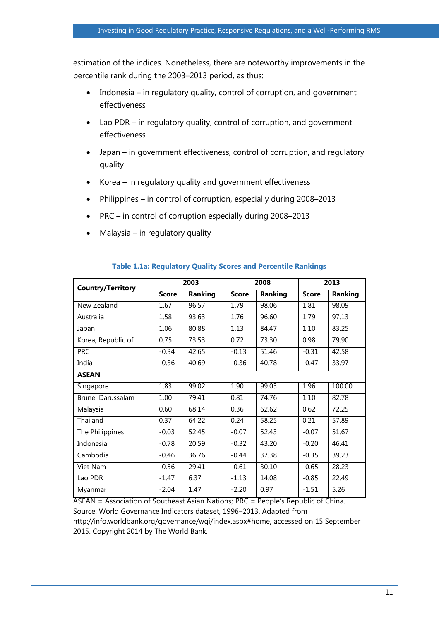estimation of the indices. Nonetheless, there are noteworthy improvements in the percentile rank during the 2003–2013 period, as thus:

- Indonesia in regulatory quality, control of corruption, and government effectiveness
- Lao PDR in regulatory quality, control of corruption, and government effectiveness
- Japan in government effectiveness, control of corruption, and regulatory quality
- Korea in regulatory quality and government effectiveness
- Philippines in control of corruption, especially during 2008–2013
- PRC in control of corruption especially during 2008–2013
- Malaysia in regulatory quality

| <b>Country/Territory</b> | 2003         |         | 2008         |         | 2013         |                |  |
|--------------------------|--------------|---------|--------------|---------|--------------|----------------|--|
|                          | <b>Score</b> | Ranking | <b>Score</b> | Ranking | <b>Score</b> | <b>Ranking</b> |  |
| New Zealand              | 1.67         | 96.57   | 1.79         | 98.06   | 1.81         | 98.09          |  |
| Australia                | 1.58         | 93.63   | 1.76         | 96.60   | 1.79         | 97.13          |  |
| Japan                    | 1.06         | 80.88   | 1.13         | 84.47   | 1.10         | 83.25          |  |
| Korea, Republic of       | 0.75         | 73.53   | 0.72         | 73.30   | 0.98         | 79.90          |  |
| <b>PRC</b>               | $-0.34$      | 42.65   | $-0.13$      | 51.46   | $-0.31$      | 42.58          |  |
| India                    | $-0.36$      | 40.69   | $-0.36$      | 40.78   | $-0.47$      | 33.97          |  |
| <b>ASEAN</b>             |              |         |              |         |              |                |  |
| Singapore                | 1.83         | 99.02   | 1.90         | 99.03   | 1.96         | 100.00         |  |
| Brunei Darussalam        | 1.00         | 79.41   | 0.81         | 74.76   | 1.10         | 82.78          |  |
| Malaysia                 | 0.60         | 68.14   | 0.36         | 62.62   | 0.62         | 72.25          |  |
| Thailand                 | 0.37         | 64.22   | 0.24         | 58.25   | 0.21         | 57.89          |  |
| The Philippines          | $-0.03$      | 52.45   | $-0.07$      | 52.43   | $-0.07$      | 51.67          |  |
| Indonesia                | $-0.78$      | 20.59   | $-0.32$      | 43.20   | $-0.20$      | 46.41          |  |
| Cambodia                 | $-0.46$      | 36.76   | $-0.44$      | 37.38   | $-0.35$      | 39.23          |  |
| Viet Nam                 | $-0.56$      | 29.41   | $-0.61$      | 30.10   | $-0.65$      | 28.23          |  |
| Lao PDR                  | $-1.47$      | 6.37    | $-1.13$      | 14.08   | $-0.85$      | 22.49          |  |
| Myanmar                  | $-2.04$      | 1.47    | $-2.20$      | 0.97    | $-1.51$      | 5.26           |  |

## **Table 1.1a: Regulatory Quality Scores and Percentile Rankings**

ASEAN = Association of Southeast Asian Nations; PRC = People's Republic of China. Source: World Governance Indicators dataset, 1996–2013. Adapted from

http://info.worldbank.org/governance/wgi/index.aspx#home, accessed on 15 September 2015. Copyright 2014 by The World Bank.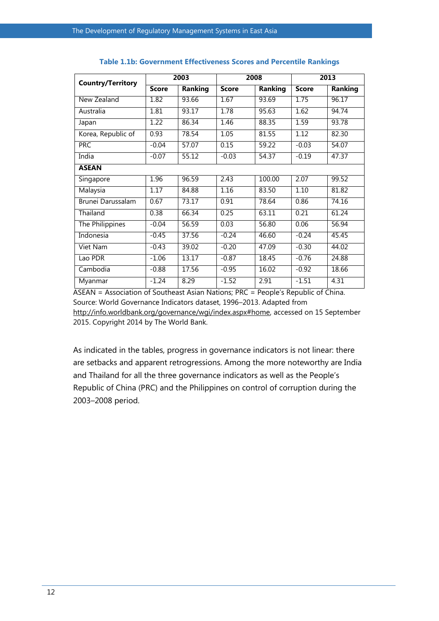| <b>Country/Territory</b> | 2003         |                | 2008         |                | 2013         |                |  |
|--------------------------|--------------|----------------|--------------|----------------|--------------|----------------|--|
|                          | <b>Score</b> | <b>Ranking</b> | <b>Score</b> | <b>Ranking</b> | <b>Score</b> | <b>Ranking</b> |  |
| New Zealand              | 1.82         | 93.66          | 1.67         | 93.69          | 1.75         | 96.17          |  |
| Australia                | 1.81         | 93.17          | 1.78         | 95.63          | 1.62         | 94.74          |  |
| Japan                    | 1.22         | 86.34          | 1.46         | 88.35          | 1.59         | 93.78          |  |
| Korea, Republic of       | 0.93         | 78.54          | 1.05         | 81.55          | 1.12         | 82.30          |  |
| <b>PRC</b>               | $-0.04$      | 57.07          | 0.15         | 59.22          | $-0.03$      | 54.07          |  |
| India                    | $-0.07$      | 55.12          | $-0.03$      | 54.37          | $-0.19$      | 47.37          |  |
| <b>ASEAN</b>             |              |                |              |                |              |                |  |
| Singapore                | 1.96         | 96.59          | 2.43         | 100.00         | 2.07         | 99.52          |  |
| Malaysia                 | 1.17         | 84.88          | 1.16         | 83.50          | 1.10         | 81.82          |  |
| Brunei Darussalam        | 0.67         | 73.17          | 0.91         | 78.64          | 0.86         | 74.16          |  |
| Thailand                 | 0.38         | 66.34          | 0.25         | 63.11          | 0.21         | 61.24          |  |
| The Philippines          | $-0.04$      | 56.59          | 0.03         | 56.80          | 0.06         | 56.94          |  |
| Indonesia                | $-0.45$      | 37.56          | $-0.24$      | 46.60          | $-0.24$      | 45.45          |  |
| Viet Nam                 | $-0.43$      | 39.02          | $-0.20$      | 47.09          | $-0.30$      | 44.02          |  |
| Lao PDR                  | $-1.06$      | 13.17          | $-0.87$      | 18.45          | $-0.76$      | 24.88          |  |
| Cambodia                 | $-0.88$      | 17.56          | $-0.95$      | 16.02          | $-0.92$      | 18.66          |  |
| Myanmar                  | $-1.24$      | 8.29           | $-1.52$      | 2.91           | $-1.51$      | 4.31           |  |

#### **Table 1.1b: Government Effectiveness Scores and Percentile Rankings**

ASEAN = Association of Southeast Asian Nations; PRC = People's Republic of China. Source: World Governance Indicators dataset, 1996–2013. Adapted from http://info.worldbank.org/governance/wgi/index.aspx#home, accessed on 15 September 2015. Copyright 2014 by The World Bank.

As indicated in the tables, progress in governance indicators is not linear: there are setbacks and apparent retrogressions. Among the more noteworthy are India and Thailand for all the three governance indicators as well as the People's Republic of China (PRC) and the Philippines on control of corruption during the 2003–2008 period.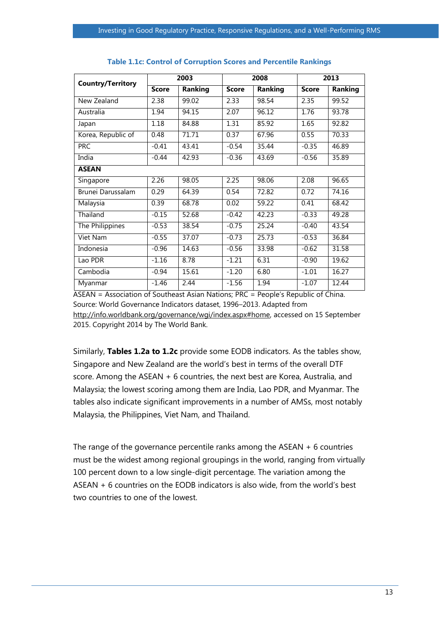| <b>Country/Territory</b> | 2003         |                | 2008         |                | 2013         |         |  |
|--------------------------|--------------|----------------|--------------|----------------|--------------|---------|--|
|                          | <b>Score</b> | <b>Ranking</b> | <b>Score</b> | <b>Ranking</b> | <b>Score</b> | Ranking |  |
| New Zealand              | 2.38         | 99.02          | 2.33         | 98.54          | 2.35         | 99.52   |  |
| Australia                | 1.94         | 94.15          | 2.07         | 96.12          | 1.76         | 93.78   |  |
| Japan                    | 1.18         | 84.88          | 1.31         | 85.92          | 1.65         | 92.82   |  |
| Korea, Republic of       | 0.48         | 71.71          | 0.37         | 67.96          | 0.55         | 70.33   |  |
| <b>PRC</b>               | $-0.41$      | 43.41          | $-0.54$      | 35.44          | $-0.35$      | 46.89   |  |
| India                    | $-0.44$      | 42.93          | $-0.36$      | 43.69          | $-0.56$      | 35.89   |  |
| <b>ASEAN</b>             |              |                |              |                |              |         |  |
| Singapore                | 2.26         | 98.05          | 2.25         | 98.06          | 2.08         | 96.65   |  |
| Brunei Darussalam        | 0.29         | 64.39          | 0.54         | 72.82          | 0.72         | 74.16   |  |
| Malaysia                 | 0.39         | 68.78          | 0.02         | 59.22          | 0.41         | 68.42   |  |
| Thailand                 | $-0.15$      | 52.68          | $-0.42$      | 42.23          | $-0.33$      | 49.28   |  |
| The Philippines          | $-0.53$      | 38.54          | $-0.75$      | 25.24          | $-0.40$      | 43.54   |  |
| Viet Nam                 | $-0.55$      | 37.07          | $-0.73$      | 25.73          | $-0.53$      | 36.84   |  |
| Indonesia                | $-0.96$      | 14.63          | $-0.56$      | 33.98          | $-0.62$      | 31.58   |  |
| Lao PDR                  | $-1.16$      | 8.78           | $-1.21$      | 6.31           | $-0.90$      | 19.62   |  |
| Cambodia                 | $-0.94$      | 15.61          | $-1.20$      | 6.80           | $-1.01$      | 16.27   |  |
| Myanmar                  | $-1.46$      | 2.44           | $-1.56$      | 1.94           | $-1.07$      | 12.44   |  |

#### **Table 1.1c: Control of Corruption Scores and Percentile Rankings**

ASEAN = Association of Southeast Asian Nations; PRC = People's Republic of China. Source: World Governance Indicators dataset, 1996–2013. Adapted from http://info.worldbank.org/governance/wgi/index.aspx#home, accessed on 15 September 2015. Copyright 2014 by The World Bank.

Similarly, **Tables 1.2a to 1.2c** provide some EODB indicators. As the tables show, Singapore and New Zealand are the world's best in terms of the overall DTF score. Among the ASEAN + 6 countries, the next best are Korea, Australia, and Malaysia; the lowest scoring among them are India, Lao PDR, and Myanmar. The tables also indicate significant improvements in a number of AMSs, most notably Malaysia, the Philippines, Viet Nam, and Thailand.

The range of the governance percentile ranks among the ASEAN + 6 countries must be the widest among regional groupings in the world, ranging from virtually 100 percent down to a low single-digit percentage. The variation among the ASEAN + 6 countries on the EODB indicators is also wide, from the world's best two countries to one of the lowest.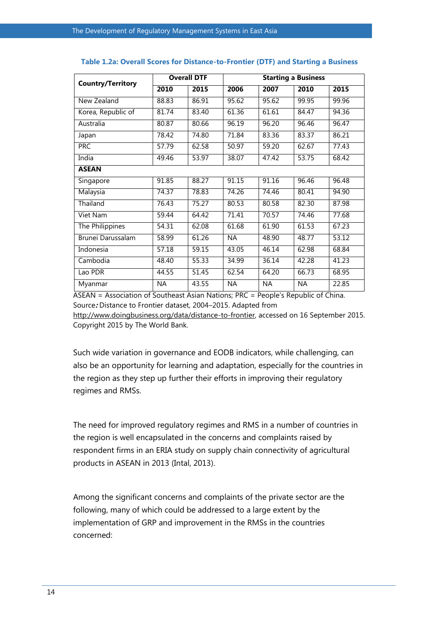| <b>Country/Territory</b> | <b>Overall DTF</b> |       | <b>Starting a Business</b> |           |           |       |  |
|--------------------------|--------------------|-------|----------------------------|-----------|-----------|-------|--|
|                          | 2010               | 2015  | 2006                       | 2007      | 2010      | 2015  |  |
| New Zealand              | 88.83              | 86.91 | 95.62                      | 95.62     | 99.95     | 99.96 |  |
| Korea, Republic of       | 81.74              | 83.40 | 61.36                      | 61.61     | 84.47     | 94.36 |  |
| Australia                | 80.87              | 80.66 | 96.19                      | 96.20     | 96.46     | 96.47 |  |
| Japan                    | 78.42              | 74.80 | 71.84                      | 83.36     | 83.37     | 86.21 |  |
| <b>PRC</b>               | 57.79              | 62.58 | 50.97                      | 59.20     | 62.67     | 77.43 |  |
| India                    | 49.46              | 53.97 | 38.07                      | 47.42     | 53.75     | 68.42 |  |
| <b>ASEAN</b>             |                    |       |                            |           |           |       |  |
| Singapore                | 91.85              | 88.27 | 91.15                      | 91.16     | 96.46     | 96.48 |  |
| Malaysia                 | 74.37              | 78.83 | 74.26                      | 74.46     | 80.41     | 94.90 |  |
| Thailand                 | 76.43              | 75.27 | 80.53                      | 80.58     | 82.30     | 87.98 |  |
| Viet Nam                 | 59.44              | 64.42 | $\overline{71.41}$         | 70.57     | 74.46     | 77.68 |  |
| The Philippines          | 54.31              | 62.08 | 61.68                      | 61.90     | 61.53     | 67.23 |  |
| Brunei Darussalam        | 58.99              | 61.26 | <b>NA</b>                  | 48.90     | 48.77     | 53.12 |  |
| Indonesia                | 57.18              | 59.15 | 43.05                      | 46.14     | 62.98     | 68.84 |  |
| Cambodia                 | 48.40              | 55.33 | 34.99                      | 36.14     | 42.28     | 41.23 |  |
| Lao PDR                  | 44.55              | 51.45 | 62.54                      | 64.20     | 66.73     | 68.95 |  |
| Myanmar                  | ΝA                 | 43.55 | <b>NA</b>                  | <b>NA</b> | <b>NA</b> | 22.85 |  |

#### **Table 1.2a: Overall Scores for Distance-to-Frontier (DTF) and Starting a Business**

ASEAN = Association of Southeast Asian Nations; PRC = People's Republic of China. Source**:** Distance to Frontier dataset, 2004–2015. Adapted from

[http://www.doingbusiness.org/data/distance-to-frontier,](http://www.doingbusiness.org/data/distance-to-frontier) accessed on 16 September 2015. Copyright 2015 by The World Bank.

Such wide variation in governance and EODB indicators, while challenging, can also be an opportunity for learning and adaptation, especially for the countries in the region as they step up further their efforts in improving their regulatory regimes and RMSs.

The need for improved regulatory regimes and RMS in a number of countries in the region is well encapsulated in the concerns and complaints raised by respondent firms in an ERIA study on supply chain connectivity of agricultural products in ASEAN in 2013 (Intal, 2013).

Among the significant concerns and complaints of the private sector are the following, many of which could be addressed to a large extent by the implementation of GRP and improvement in the RMSs in the countries concerned: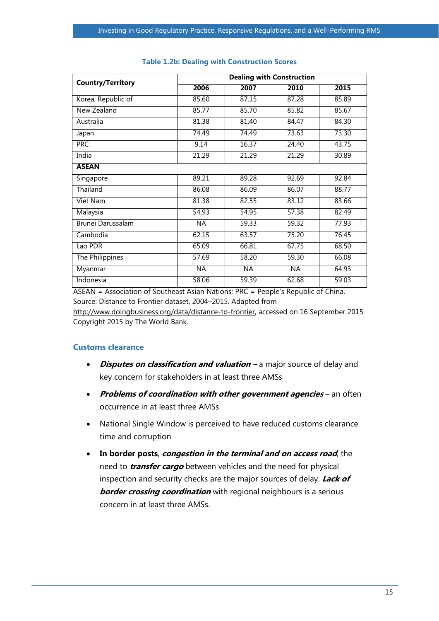| <b>Country/Territory</b> | <b>Dealing with Construction</b> |           |       |                    |  |  |  |
|--------------------------|----------------------------------|-----------|-------|--------------------|--|--|--|
|                          | 2006                             | 2007      | 2010  | 2015               |  |  |  |
| Korea, Republic of       | 85.60                            | 87.15     | 87.28 | 85.89              |  |  |  |
| New Zealand              | 85.77                            | 85.70     | 85.82 | 85.67              |  |  |  |
| Australia                | 81.38                            | 81.40     | 84.47 | 84.30              |  |  |  |
| Japan                    | 74.49                            | 74.49     | 73.63 | 73.30              |  |  |  |
| <b>PRC</b>               | 9.14                             | 16.37     | 24.40 | 43.75              |  |  |  |
| India                    | 21.29                            | 21.29     | 21.29 | 30.89              |  |  |  |
| <b>ASEAN</b>             |                                  |           |       |                    |  |  |  |
| Singapore                | 89.21                            | 89.28     | 92.69 | 92.84              |  |  |  |
| Thailand                 | 86.08                            | 86.09     | 86.07 | 88.77              |  |  |  |
| Viet Nam                 | 81.38                            | 82.55     | 83.12 | 83.66              |  |  |  |
| Malaysia                 | 54.93                            | 54.95     | 57.38 | 82.49              |  |  |  |
| Brunei Darussalam        | <b>NA</b>                        | 59.33     | 59.32 | 77.93              |  |  |  |
| Cambodia                 | 62.15                            | 63.57     | 75.20 | 76.45              |  |  |  |
| Lao PDR                  | 65.09                            | 66.81     | 67.75 | 68.50              |  |  |  |
| The Philippines          | 57.69                            | 58.20     | 59.30 | 66.08              |  |  |  |
| Myanmar                  | <b>NA</b>                        | <b>NA</b> | NA.   | 64.93              |  |  |  |
| Indonesia                | 58.06                            | 59.39     | 62.68 | $\overline{59.03}$ |  |  |  |

#### **Table 1.2b: Dealing with Construction Scores**

ASEAN = Association of Southeast Asian Nations; PRC = People's Republic of China. Source: Distance to Frontier dataset, 2004–2015. Adapted from

http://www.doingbusiness.org/data/distance-to-frontier, accessed on 16 September 2015. Copyright 2015 by The World Bank.

### **Customs clearance**

- **•** Disputes on classification and valuation a major source of delay and key concern for stakeholders in at least three AMSs
- **•** Problems of coordination with other government agencies an often occurrence in at least three AMSs
- National Single Window is perceived to have reduced customs clearance time and corruption
- **In border posts**, **congestion in the terminal and on access road**, the need to **transfer cargo** between vehicles and the need for physical inspection and security checks are the major sources of delay. **Lack of border crossing coordination** with regional neighbours is a serious concern in at least three AMSs.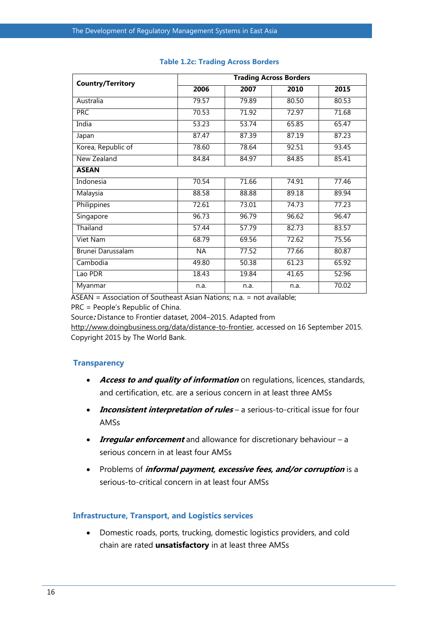| <b>Country/Territory</b> | <b>Trading Across Borders</b> |       |       |       |  |  |
|--------------------------|-------------------------------|-------|-------|-------|--|--|
|                          | 2006                          | 2007  | 2010  | 2015  |  |  |
| Australia                | 79.57                         | 79.89 | 80.50 | 80.53 |  |  |
| <b>PRC</b>               | 70.53                         | 71.92 | 72.97 | 71.68 |  |  |
| India                    | 53.23                         | 53.74 | 65.85 | 65.47 |  |  |
| Japan                    | 87.47                         | 87.39 | 87.19 | 87.23 |  |  |
| Korea, Republic of       | 78.60                         | 78.64 | 92.51 | 93.45 |  |  |
| New Zealand              | 84.84                         | 84.97 | 84.85 | 85.41 |  |  |
| <b>ASEAN</b>             |                               |       |       |       |  |  |
| Indonesia                | 70.54                         | 71.66 | 74.91 | 77.46 |  |  |
| Malaysia                 | 88.58                         | 88.88 | 89.18 | 89.94 |  |  |
| Philippines              | 72.61                         | 73.01 | 74.73 | 77.23 |  |  |
| Singapore                | 96.73                         | 96.79 | 96.62 | 96.47 |  |  |
| Thailand                 | 57.44                         | 57.79 | 82.73 | 83.57 |  |  |
| Viet Nam                 | 68.79                         | 69.56 | 72.62 | 75.56 |  |  |
| Brunei Darussalam        | <b>NA</b>                     | 77.52 | 77.66 | 80.87 |  |  |
| Cambodia                 | 49.80                         | 50.38 | 61.23 | 65.92 |  |  |
| Lao PDR                  | 18.43                         | 19.84 | 41.65 | 52.96 |  |  |
| Myanmar                  | n.a.                          | n.a.  | n.a.  | 70.02 |  |  |

#### **Table 1.2c: Trading Across Borders**

ASEAN = Association of Southeast Asian Nations; n.a. = not available;

PRC = People's Republic of China.

Source**:** Distance to Frontier dataset, 2004–2015. Adapted from

[http://www.doingbusiness.org/data/distance-to-frontier,](http://www.doingbusiness.org/data/distance-to-frontier) accessed on 16 September 2015. Copyright 2015 by The World Bank.

#### **Transparency**

- **Access to and quality of information** on regulations, licences, standards, and certification, etc. are a serious concern in at least three AMSs
- **Inconsistent interpretation of rules** a serious-to-critical issue for four AMSs
- **Irregular enforcement** and allowance for discretionary behaviour a serious concern in at least four AMSs
- Problems of **informal payment, excessive fees, and/or corruption** is a serious-to-critical concern in at least four AMSs

#### **Infrastructure, Transport, and Logistics services**

 Domestic roads, ports, trucking, domestic logistics providers, and cold chain are rated **unsatisfactory** in at least three AMSs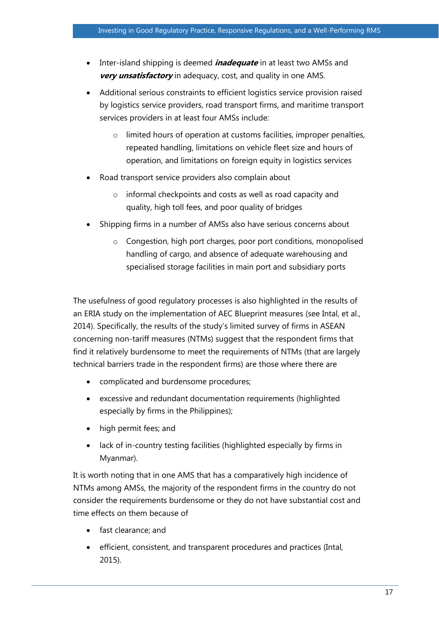- **•** Inter-island shipping is deemed *inadequate* in at least two AMSs and **very unsatisfactory** in adequacy, cost, and quality in one AMS.
- Additional serious constraints to efficient logistics service provision raised by logistics service providers, road transport firms, and maritime transport services providers in at least four AMSs include:
	- o limited hours of operation at customs facilities, improper penalties, repeated handling, limitations on vehicle fleet size and hours of operation, and limitations on foreign equity in logistics services
- Road transport service providers also complain about
	- o informal checkpoints and costs as well as road capacity and quality, high toll fees, and poor quality of bridges
- Shipping firms in a number of AMSs also have serious concerns about
	- o Congestion, high port charges, poor port conditions, monopolised handling of cargo, and absence of adequate warehousing and specialised storage facilities in main port and subsidiary ports

The usefulness of good regulatory processes is also highlighted in the results of an ERIA study on the implementation of AEC Blueprint measures (see Intal, et al., 2014). Specifically, the results of the study's limited survey of firms in ASEAN concerning non-tariff measures (NTMs) suggest that the respondent firms that find it relatively burdensome to meet the requirements of NTMs (that are largely technical barriers trade in the respondent firms) are those where there are

- complicated and burdensome procedures;
- excessive and redundant documentation requirements (highlighted especially by firms in the Philippines);
- high permit fees; and
- lack of in-country testing facilities (highlighted especially by firms in Myanmar).

It is worth noting that in one AMS that has a comparatively high incidence of NTMs among AMSs, the majority of the respondent firms in the country do not consider the requirements burdensome or they do not have substantial cost and time effects on them because of

- fast clearance; and
- efficient, consistent, and transparent procedures and practices (Intal, 2015).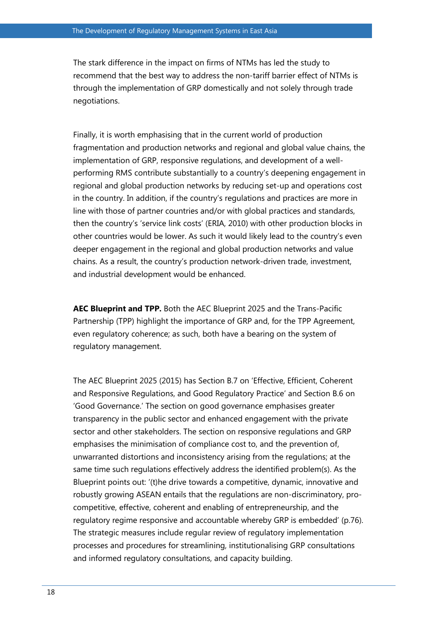The stark difference in the impact on firms of NTMs has led the study to recommend that the best way to address the non-tariff barrier effect of NTMs is through the implementation of GRP domestically and not solely through trade negotiations.

Finally, it is worth emphasising that in the current world of production fragmentation and production networks and regional and global value chains, the implementation of GRP, responsive regulations, and development of a wellperforming RMS contribute substantially to a country's deepening engagement in regional and global production networks by reducing set-up and operations cost in the country. In addition, if the country's regulations and practices are more in line with those of partner countries and/or with global practices and standards, then the country's 'service link costs' (ERIA, 2010) with other production blocks in other countries would be lower. As such it would likely lead to the country's even deeper engagement in the regional and global production networks and value chains. As a result, the country's production network-driven trade, investment, and industrial development would be enhanced.

**AEC Blueprint and TPP.** Both the AEC Blueprint 2025 and the Trans-Pacific Partnership (TPP) highlight the importance of GRP and, for the TPP Agreement, even regulatory coherence; as such, both have a bearing on the system of regulatory management.

The AEC Blueprint 2025 (2015) has Section B.7 on 'Effective, Efficient, Coherent and Responsive Regulations, and Good Regulatory Practice' and Section B.6 on 'Good Governance.' The section on good governance emphasises greater transparency in the public sector and enhanced engagement with the private sector and other stakeholders. The section on responsive regulations and GRP emphasises the minimisation of compliance cost to, and the prevention of, unwarranted distortions and inconsistency arising from the regulations; at the same time such regulations effectively address the identified problem(s). As the Blueprint points out: '(t)he drive towards a competitive, dynamic, innovative and robustly growing ASEAN entails that the regulations are non-discriminatory, procompetitive, effective, coherent and enabling of entrepreneurship, and the regulatory regime responsive and accountable whereby GRP is embedded' (p.76). The strategic measures include regular review of regulatory implementation processes and procedures for streamlining, institutionalising GRP consultations and informed regulatory consultations, and capacity building.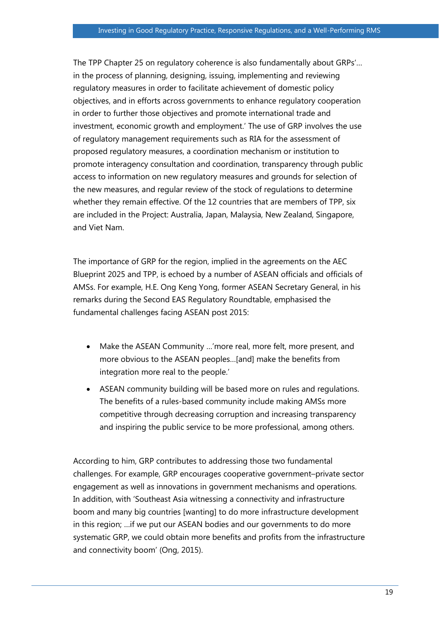The TPP Chapter 25 on regulatory coherence is also fundamentally about GRPs'… in the process of planning, designing, issuing, implementing and reviewing regulatory measures in order to facilitate achievement of domestic policy objectives, and in efforts across governments to enhance regulatory cooperation in order to further those objectives and promote international trade and investment, economic growth and employment.' The use of GRP involves the use of regulatory management requirements such as RIA for the assessment of proposed regulatory measures, a coordination mechanism or institution to promote interagency consultation and coordination, transparency through public access to information on new regulatory measures and grounds for selection of the new measures, and regular review of the stock of regulations to determine whether they remain effective. Of the 12 countries that are members of TPP, six are included in the Project: Australia, Japan, Malaysia, New Zealand, Singapore, and Viet Nam.

The importance of GRP for the region, implied in the agreements on the AEC Blueprint 2025 and TPP, is echoed by a number of ASEAN officials and officials of AMSs. For example, H.E. Ong Keng Yong, former ASEAN Secretary General, in his remarks during the Second EAS Regulatory Roundtable, emphasised the fundamental challenges facing ASEAN post 2015:

- Make the ASEAN Community …'more real, more felt, more present, and more obvious to the ASEAN peoples…[and] make the benefits from integration more real to the people.'
- ASEAN community building will be based more on rules and regulations. The benefits of a rules-based community include making AMSs more competitive through decreasing corruption and increasing transparency and inspiring the public service to be more professional, among others.

According to him, GRP contributes to addressing those two fundamental challenges. For example, GRP encourages cooperative government–private sector engagement as well as innovations in government mechanisms and operations. In addition, with 'Southeast Asia witnessing a connectivity and infrastructure boom and many big countries [wanting] to do more infrastructure development in this region; …if we put our ASEAN bodies and our governments to do more systematic GRP, we could obtain more benefits and profits from the infrastructure and connectivity boom' (Ong, 2015).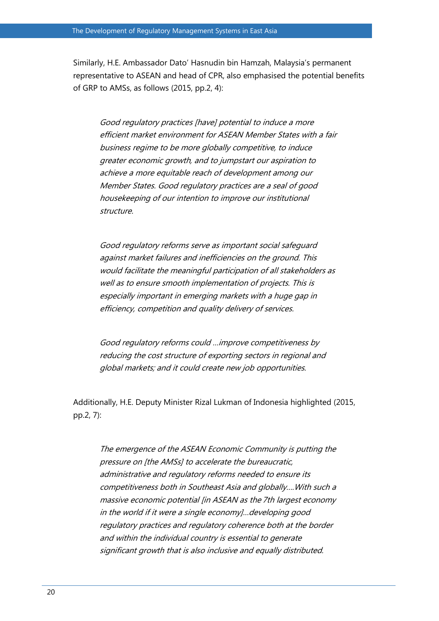Similarly, H.E. Ambassador Dato' Hasnudin bin Hamzah, Malaysia's permanent representative to ASEAN and head of CPR, also emphasised the potential benefits of GRP to AMSs, as follows (2015, pp.2, 4):

Good regulatory practices [have] potential to induce a more efficient market environment for ASEAN Member States with a fair business regime to be more globally competitive, to induce greater economic growth, and to jumpstart our aspiration to achieve a more equitable reach of development among our Member States. Good regulatory practices are a seal of good housekeeping of our intention to improve our institutional structure.

Good regulatory reforms serve as important social safeguard against market failures and inefficiencies on the ground. This would facilitate the meaningful participation of all stakeholders as well as to ensure smooth implementation of projects. This is especially important in emerging markets with a huge gap in efficiency, competition and quality delivery of services.

Good regulatory reforms could …improve competitiveness by reducing the cost structure of exporting sectors in regional and global markets; and it could create new job opportunities.

Additionally, H.E. Deputy Minister Rizal Lukman of Indonesia highlighted (2015, pp.2, 7):

The emergence of the ASEAN Economic Community is putting the pressure on [the AMSs] to accelerate the bureaucratic, administrative and regulatory reforms needed to ensure its competitiveness both in Southeast Asia and globally….With such a massive economic potential [in ASEAN as the 7th largest economy in the world if it were a single economy]…developing good regulatory practices and regulatory coherence both at the border and within the individual country is essential to generate significant growth that is also inclusive and equally distributed.